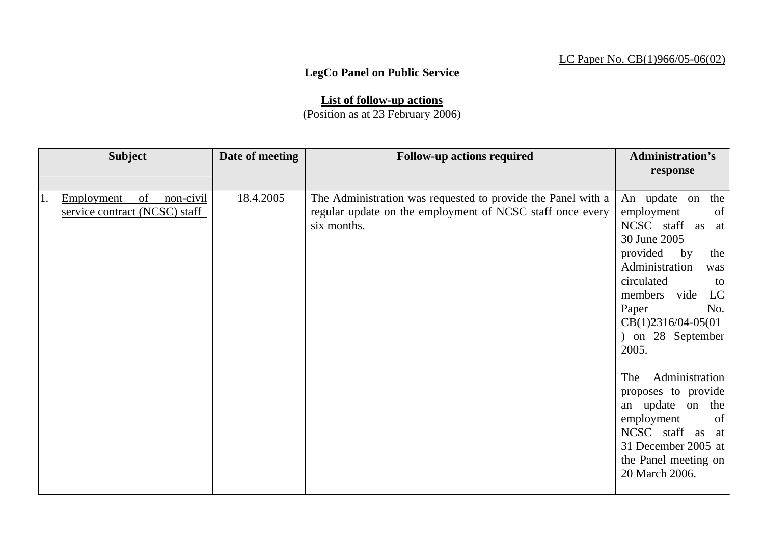## LC Paper No. CB(1)966/05-06(02)

## **LegCo Panel on Public Service**

**List of follow-up actions** (Position as at 23 February 2006)

| response<br>18.4.2005<br>of<br>non-civil<br>The Administration was requested to provide the Panel with a<br>An update on<br>the<br>Employment<br>regular update on the employment of NCSC staff once every<br>of<br>service contract (NCSC) staff<br>employment<br>NCSC staff<br>six months.<br>as<br>at<br>30 June 2005<br>provided<br>by<br>the<br>Administration<br>was<br>circulated<br>to<br>LC<br>members vide<br>No.<br>Paper<br>$CB(1)2316/04-05(01)$<br>) on 28 September<br>2005.<br>Administration<br>The<br>proposes to provide<br>an update on the<br>of<br>employment<br>NCSC staff as at<br>31 December 2005 at<br>the Panel meeting on<br>20 March 2006. | <b>Subject</b> | Date of meeting | <b>Follow-up actions required</b> | <b>Administration's</b> |
|--------------------------------------------------------------------------------------------------------------------------------------------------------------------------------------------------------------------------------------------------------------------------------------------------------------------------------------------------------------------------------------------------------------------------------------------------------------------------------------------------------------------------------------------------------------------------------------------------------------------------------------------------------------------------|----------------|-----------------|-----------------------------------|-------------------------|
|                                                                                                                                                                                                                                                                                                                                                                                                                                                                                                                                                                                                                                                                          |                |                 |                                   |                         |
|                                                                                                                                                                                                                                                                                                                                                                                                                                                                                                                                                                                                                                                                          | 1.             |                 |                                   |                         |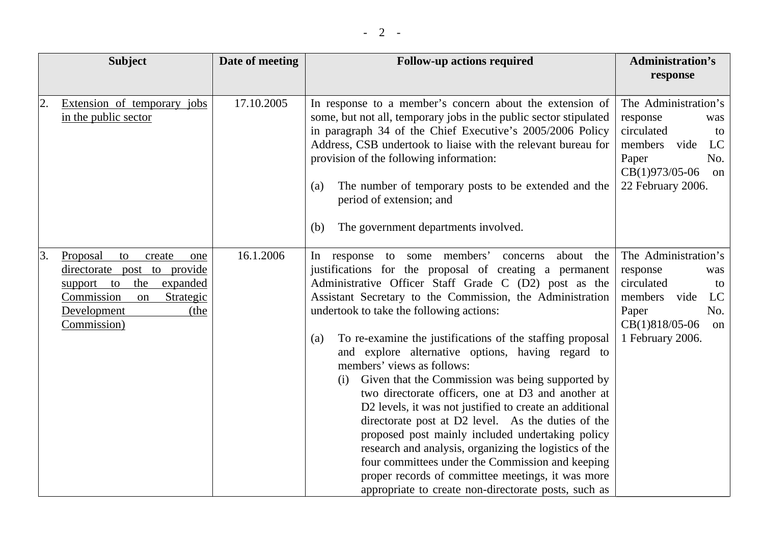|    | <b>Subject</b>                                                                                                                                                      | Date of meeting | <b>Follow-up actions required</b>                                                                                                                                                                                                                                                                                                                                                                                                                                                                                                                                                                                                                                                                                                                                                                                                                                                                                                                          | <b>Administration's</b><br>response                                                                                                               |
|----|---------------------------------------------------------------------------------------------------------------------------------------------------------------------|-----------------|------------------------------------------------------------------------------------------------------------------------------------------------------------------------------------------------------------------------------------------------------------------------------------------------------------------------------------------------------------------------------------------------------------------------------------------------------------------------------------------------------------------------------------------------------------------------------------------------------------------------------------------------------------------------------------------------------------------------------------------------------------------------------------------------------------------------------------------------------------------------------------------------------------------------------------------------------------|---------------------------------------------------------------------------------------------------------------------------------------------------|
| 2. | Extension of temporary jobs<br>in the public sector                                                                                                                 | 17.10.2005      | In response to a member's concern about the extension of<br>some, but not all, temporary jobs in the public sector stipulated<br>in paragraph 34 of the Chief Executive's 2005/2006 Policy<br>Address, CSB undertook to liaise with the relevant bureau for<br>provision of the following information:<br>The number of temporary posts to be extended and the<br>(a)<br>period of extension; and<br>The government departments involved.<br>(b)                                                                                                                                                                                                                                                                                                                                                                                                                                                                                                           | The Administration's<br>response<br>was<br>circulated<br>to<br>members<br>LC<br>vide<br>No.<br>Paper<br>CB(1)973/05-06<br>on<br>22 February 2006. |
| 3. | Proposal<br>to<br>create<br>one<br>directorate post to provide<br>the expanded<br>support to<br>Commission<br>Strategic<br>on<br>Development<br>(the<br>Commission) | 16.1.2006       | In response to some members'<br>about the<br>concerns<br>justifications for the proposal of creating a permanent<br>Administrative Officer Staff Grade C (D2) post as the<br>Assistant Secretary to the Commission, the Administration<br>undertook to take the following actions:<br>To re-examine the justifications of the staffing proposal<br>(a)<br>and explore alternative options, having regard to<br>members' views as follows:<br>Given that the Commission was being supported by<br>(i)<br>two directorate officers, one at D3 and another at<br>D2 levels, it was not justified to create an additional<br>directorate post at D2 level. As the duties of the<br>proposed post mainly included undertaking policy<br>research and analysis, organizing the logistics of the<br>four committees under the Commission and keeping<br>proper records of committee meetings, it was more<br>appropriate to create non-directorate posts, such as | The Administration's<br>response<br>was<br>circulated<br>to<br>members<br>vide<br>LC<br>Paper<br>No.<br>CB(1)818/05-06<br>on<br>1 February 2006.  |